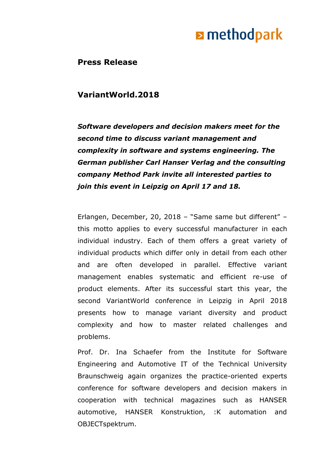**Press Release**

### **VariantWorld.2018**

*Software developers and decision makers meet for the second time to discuss variant management and complexity in software and systems engineering. The German publisher Carl Hanser Verlag and the consulting company Method Park invite all interested parties to join this event in Leipzig on April 17 and 18.*

Erlangen, December, 20, 2018 – "Same same but different" – this motto applies to every successful manufacturer in each individual industry. Each of them offers a great variety of individual products which differ only in detail from each other and are often developed in parallel. Effective variant management enables systematic and efficient re-use of product elements. After its successful start this year, the second VariantWorld conference in Leipzig in April 2018 presents how to manage variant diversity and product complexity and how to master related challenges and problems.

Prof. Dr. Ina Schaefer from the Institute for Software Engineering and Automotive IT of the Technical University Braunschweig again organizes the practice-oriented experts conference for software developers and decision makers in cooperation with technical magazines such as HANSER automotive, HANSER Konstruktion, :K automation and OBJECTspektrum.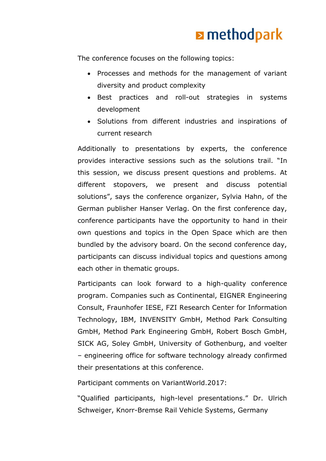The conference focuses on the following topics:

- Processes and methods for the management of variant diversity and product complexity
- Best practices and roll-out strategies in systems development
- Solutions from different industries and inspirations of current research

Additionally to presentations by experts, the conference provides interactive sessions such as the solutions trail. "In this session, we discuss present questions and problems. At different stopovers, we present and discuss potential solutions", says the conference organizer, Sylvia Hahn, of the German publisher Hanser Verlag. On the first conference day, conference participants have the opportunity to hand in their own questions and topics in the Open Space which are then bundled by the advisory board. On the second conference day, participants can discuss individual topics and questions among each other in thematic groups.

Participants can look forward to a high-quality conference program. Companies such as Continental, EIGNER Engineering Consult, Fraunhofer IESE, FZI Research Center for Information Technology, IBM, INVENSITY GmbH, Method Park Consulting GmbH, Method Park Engineering GmbH, Robert Bosch GmbH, SICK AG, Soley GmbH, University of Gothenburg, and voelter – engineering office for software technology already confirmed their presentations at this conference.

Participant comments on VariantWorld.2017:

"Qualified participants, high-level presentations." Dr. Ulrich Schweiger, Knorr-Bremse Rail Vehicle Systems, Germany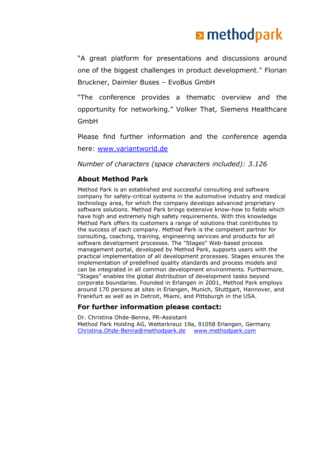"A great platform for presentations and discussions around one of the biggest challenges in product development." Florian Bruckner, Daimler Buses – EvoBus GmbH

"The conference provides a thematic overview and the opportunity for networking." Volker That, Siemens Healthcare GmbH

Please find further information and the conference agenda here: [www.variantworld.de](http://www.variantworld.de/)

*Number of characters (space characters included): 3.126*

#### **About Method Park**

Method Park is an established and successful consulting and software company for safety-critical systems in the automotive industry and medical technology area, for which the company develops advanced proprietary software solutions. Method Park brings extensive know-how to fields which have high and extremely high safety requirements. With this knowledge Method Park offers its customers a range of solutions that contributes to the success of each company. Method Park is the competent partner for consulting, coaching, training, engineering services and products for all software development processes. The "Stages" Web-based process management portal, developed by Method Park, supports users with the practical implementation of all development processes. Stages ensures the implementation of predefined quality standards and process models and can be integrated in all common development environments. Furthermore, "Stages" enables the global distribution of development tasks beyond corporate boundaries. Founded in Erlangen in 2001, Method Park employs around 170 persons at sites in Erlangen, Munich, Stuttgart, Hannover, and Frankfurt as well as in Detroit, Miami, and Pittsburgh in the USA.

#### **For further information please contact:**

Dr. Christina Ohde-Benna, PR-Assistant Method Park Holding AG, Wetterkreuz 19a, 91058 Erlangen, Germany [Christina.Ohde-Benna@methodpark.de](mailto:Christina.Ohde-Benna@methodpark.de) [www.methodpark.com](http://www.methodpark.com/)